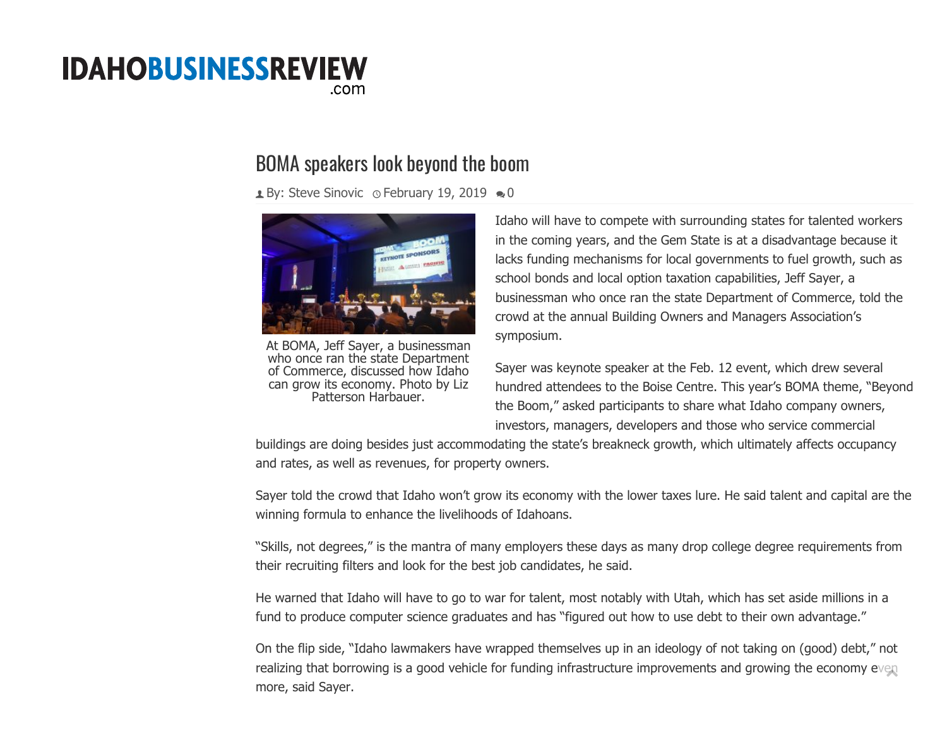## **IDAHOBUSINESSREVIEW** .com

## BOMA speakers look beyond the boom

 $\triangle$  By: [Steve Sinovic](https://idahobusinessreview.com/author/steves/)  $\circ$  February 19, 2[0](https://idahobusinessreview.com/2019/02/19/boma-speakers-look-beyond-the-boom/#respond)19  $\bullet$  0



At BOMA, Jeff Sayer, a businessman who once ran the state Department of Commerce, discussed how Idaho can grow its economy. Photo by Liz Patterson Harbauer.

Idaho will have to compete with surrounding states for talented workers in the coming years, and the Gem State is at a disadvantage because it lacks funding mechanisms for local governments to fuel growth, such as school bonds and local option taxation capabilities, Jeff Sayer, a businessman who once ran the state Department of Commerce, told the crowd at the annual Building Owners and Managers Association's symposium.

Sayer was keynote speaker at the Feb. 12 event, which drew several hundred attendees to the Boise Centre. This year's BOMA theme, "Beyond the Boom," asked participants to share what Idaho company owners, investors, managers, developers and those who service commercial

buildings are doing besides just accommodating the state's breakneck growth, which ultimately affects occupancy and rates, as well as revenues, for property owners.

Sayer told the crowd that Idaho won't grow its economy with the lower taxes lure. He said talent and capital are the winning formula to enhance the livelihoods of Idahoans.

"Skills, not degrees," is the mantra of many employers these days as many drop college degree requirements from their recruiting filters and look for the best job candidates, he said.

He warned that Idaho will have to go to war for talent, most notably with Utah, which has set aside millions in a fund to produce computer science graduates and has "figured out how to use debt to their own advantage."

On the flip side, "Idaho lawmakers have wrapped themselves up in an ideology of not taking on (good) debt," not realizing that borrowing is a good vehicle for funding infrastructure improvements and growing the economy even more, said Sayer.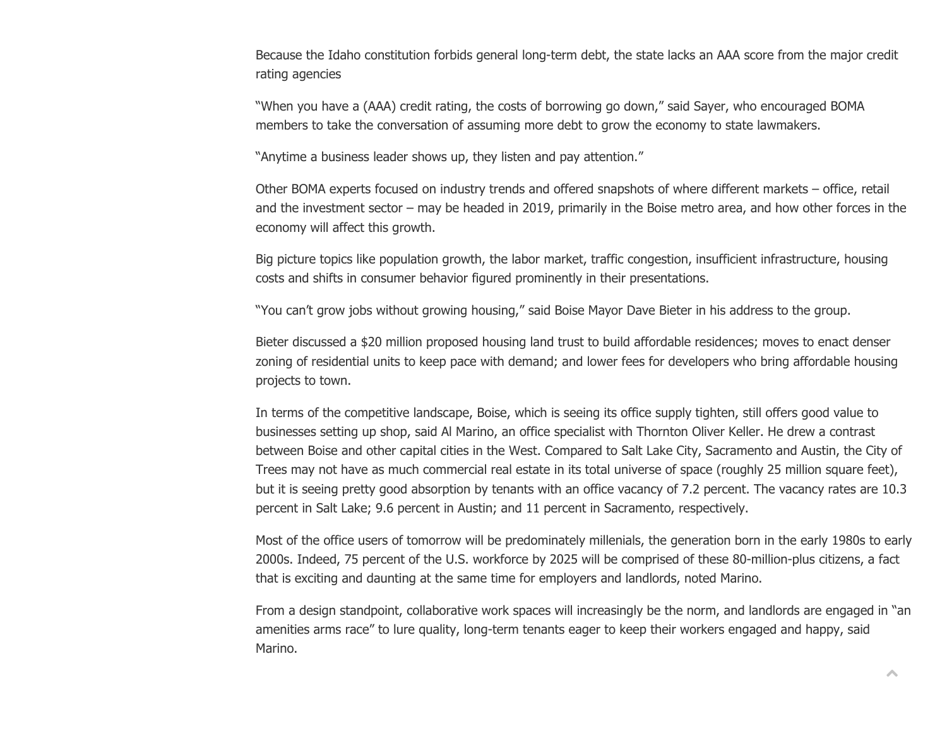Because the Idaho constitution forbids general long-term debt, the state lacks an AAA score from the major credit rating agencies

"When you have a (AAA) credit rating, the costs of borrowing go down," said Sayer, who encouraged BOMA members to take the conversation of assuming more debt to grow the economy to state lawmakers.

"Anytime a business leader shows up, they listen and pay attention."

Other BOMA experts focused on industry trends and offered snapshots of where different markets – office, retail and the investment sector – may be headed in 2019, primarily in the Boise metro area, and how other forces in the economy will affect this growth.

Big picture topics like population growth, the labor market, traffic congestion, insufficient infrastructure, housing costs and shifts in consumer behavior figured prominently in their presentations.

"You can't grow jobs without growing housing," said Boise Mayor Dave Bieter in his address to the group.

Bieter discussed a \$20 million proposed housing land trust to build affordable residences; moves to enact denser zoning of residential units to keep pace with demand; and lower fees for developers who bring affordable housing projects to town.

In terms of the competitive landscape, Boise, which is seeing its office supply tighten, still offers good value to businesses setting up shop, said Al Marino, an office specialist with Thornton Oliver Keller. He drew a contrast between Boise and other capital cities in the West. Compared to Salt Lake City, Sacramento and Austin, the City of Trees may not have as much commercial real estate in its total universe of space (roughly 25 million square feet), but it is seeing pretty good absorption by tenants with an office vacancy of 7.2 percent. The vacancy rates are 10.3 percent in Salt Lake; 9.6 percent in Austin; and 11 percent in Sacramento, respectively.

Most of the office users of tomorrow will be predominately millenials, the generation born in the early 1980s to early 2000s. Indeed, 75 percent of the U.S. workforce by 2025 will be comprised of these 80-million-plus citizens, a fact that is exciting and daunting at the same time for employers and landlords, noted Marino.

From a design standpoint, collaborative work spaces will increasingly be the norm, and landlords are engaged in "an amenities arms race" to lure quality, long-term tenants eager to keep their workers engaged and happy, said Marino.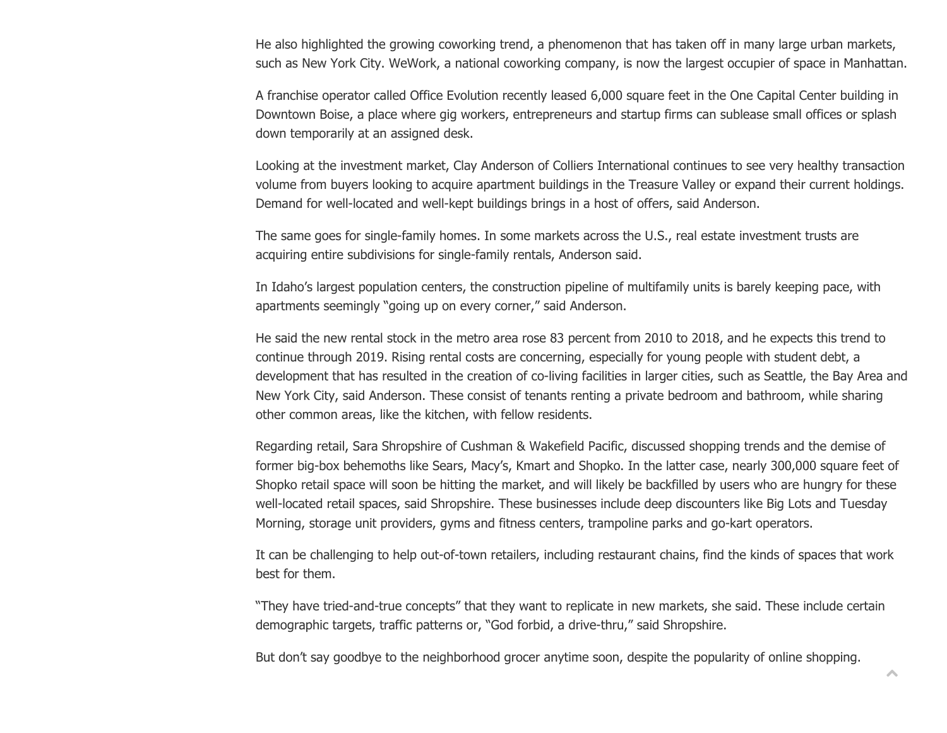He also highlighted the growing coworking trend, a phenomenon that has taken off in many large urban markets, such as New York City. WeWork, a national coworking company, is now the largest occupier of space in Manhattan.

A franchise operator called Office Evolution recently leased 6,000 square feet in the One Capital Center building in Downtown Boise, a place where gig workers, entrepreneurs and startup firms can sublease small offices or splash down temporarily at an assigned desk.

Looking at the investment market, Clay Anderson of Colliers International continues to see very healthy transaction volume from buyers looking to acquire apartment buildings in the Treasure Valley or expand their current holdings. Demand for well-located and well-kept buildings brings in a host of offers, said Anderson.

The same goes for single-family homes. In some markets across the U.S., real estate investment trusts are acquiring entire subdivisions for single-family rentals, Anderson said.

In Idaho's largest population centers, the construction pipeline of multifamily units is barely keeping pace, with apartments seemingly "going up on every corner," said Anderson.

He said the new rental stock in the metro area rose 83 percent from 2010 to 2018, and he expects this trend to continue through 2019. Rising rental costs are concerning, especially for young people with student debt, a development that has resulted in the creation of co-living facilities in larger cities, such as Seattle, the Bay Area and New York City, said Anderson. These consist of tenants renting a private bedroom and bathroom, while sharing other common areas, like the kitchen, with fellow residents.

Regarding retail, Sara Shropshire of Cushman & Wakefield Pacific, discussed shopping trends and the demise of former big-box behemoths like Sears, Macy's, Kmart and Shopko. In the latter case, nearly 300,000 square feet of Shopko retail space will soon be hitting the market, and will likely be backfilled by users who are hungry for these well-located retail spaces, said Shropshire. These businesses include deep discounters like Big Lots and Tuesday Morning, storage unit providers, gyms and fitness centers, trampoline parks and go-kart operators.

It can be challenging to help out-of-town retailers, including restaurant chains, find the kinds of spaces that work best for them.

"They have tried-and-true concepts" that they want to replicate in new markets, she said. These include certain demographic targets, traffic patterns or, "God forbid, a drive-thru," said Shropshire.

But don't say goodbye to the neighborhood grocer anytime soon, despite the popularity of online shopping.